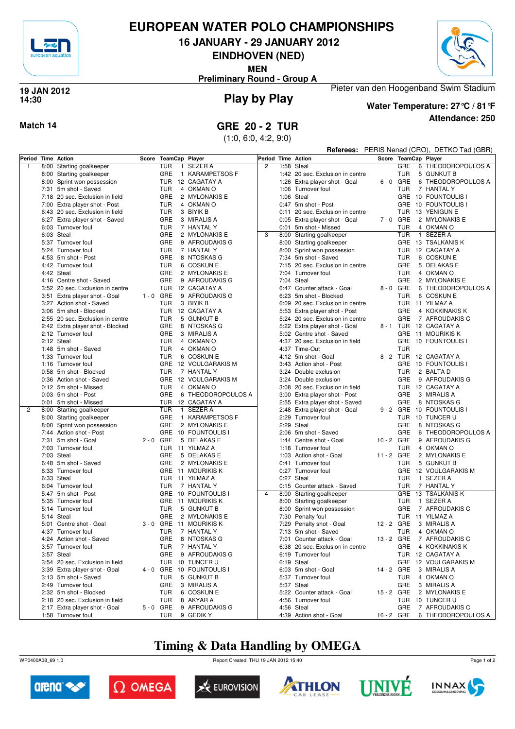

## **EUROPEAN WATER POLO CHAMPIONSHIPS**

**16 JANUARY - 29 JANUARY 2012**

**EINDHOVEN (NED)**

**MEN**

Pieter van den Hoogenband Swim Stadium **Preliminary Round - Group A**



### **Play by Play 19 JAN 2012 14:30**



## **Attendance: 250 Water Temperature: 27°C / 81°F**

(1:0, 6:0, 4:2, 9:0)

|                    |                                           |       |                     |                                          |   |      |                                                        |            |                   | Referees: PERIS Nenad (CRO), DETKO Tad (GBR) |
|--------------------|-------------------------------------------|-------|---------------------|------------------------------------------|---|------|--------------------------------------------------------|------------|-------------------|----------------------------------------------|
| Period Time Action |                                           | Score | TeamCap Player      |                                          |   |      | Period Time Action                                     |            |                   | Score TeamCap Player                         |
| $\mathbf{1}$       | 8:00 Starting goalkeeper                  |       | TUR                 | 1 SEZER A                                | 2 |      | 1:58 Steal                                             |            | GRE               | 6 THEODOROPOULOS A                           |
|                    | 8:00 Starting goalkeeper                  |       | GRE                 | 1 KARAMPETSOS F                          |   |      | 1:42 20 sec. Exclusion in centre                       |            | TUR               | 5 GUNKUT B                                   |
|                    | 8:00 Sprint won possession                |       | TUR                 | 12 CAGATAY A                             |   |      | 1:26 Extra player shot - Goal                          |            | $6 - 0$ GRE       | 6 THEODOROPOULOS A                           |
|                    | 7:31 5m shot - Saved                      |       | <b>TUR</b>          | 4 OKMAN O                                |   | 1:06 | Turnover foul                                          |            | <b>TUR</b>        | 7 HANTAL Y                                   |
|                    | 7:18 20 sec. Exclusion in field           |       | GRE                 | 2 MYLONAKIS E                            |   |      | 1:06 Steal                                             |            |                   | GRE 10 FOUNTOULIS I                          |
|                    | 7:00 Extra player shot - Post             |       | <b>TUR</b>          | 4 OKMAN O                                |   |      | 0:47 5m shot - Post                                    |            |                   | GRE 10 FOUNTOULIS I                          |
|                    | 6:43 20 sec. Exclusion in field           |       | <b>TUR</b>          | 3 BIYIK B                                |   |      | 0:11 20 sec. Exclusion in centre                       |            |                   | TUR 13 YENIGUN E                             |
|                    | 6:27 Extra player shot - Saved            |       | GRE                 | 3 MIRALIS A                              |   |      | 0:05 Extra player shot - Goal                          |            | 7-0 GRE           | 2 MYLONAKIS E                                |
|                    | 6:03 Turnover foul                        |       | <b>TUR</b>          | 7 HANTAL Y                               |   |      | 0:01 5m shot - Missed                                  |            | <b>TUR</b>        | 4 OKMAN O                                    |
|                    | 6:03 Steal                                |       | GRE                 | 2 MYLONAKIS E                            | 3 |      | 8:00 Starting goalkeeper                               |            | <b>TUR</b>        | 1 SEZER A                                    |
|                    | 5:37 Turnover foul                        |       | <b>GRE</b>          | 9 AFROUDAKIS G                           |   |      | 8:00 Starting goalkeeper                               |            |                   | GRE 13 TSALKANIS K                           |
|                    | 5:24 Turnover foul                        |       | <b>TUR</b>          | 7 HANTAL Y                               |   |      | 8:00 Sprint won possession                             |            |                   | TUR 12 CAGATAY A                             |
|                    | 4:53 5m shot - Post                       |       | GRE                 | 8 NTOSKAS G                              |   |      | 7:34 5m shot - Saved                                   |            | TUR               | 6 COSKUN E                                   |
|                    | 4:42 Turnover foul                        |       | TUR                 | 6 COSKUN E                               |   |      | 7:15 20 sec. Exclusion in centre                       |            | GRE               | 5 DELAKAS E                                  |
|                    | 4:42 Steal                                |       | GRE                 | 2 MYLONAKIS E                            |   |      | 7:04 Turnover foul                                     |            | TUR               | 4 OKMAN O                                    |
|                    | 4:16 Centre shot - Saved                  |       | GRE                 | 9 AFROUDAKIS G                           |   |      | 7:04 Steal                                             |            | GRE               | 2 MYLONAKIS E                                |
|                    | 3:52 20 sec. Exclusion in centre          |       | TUR                 | 12 CAGATAY A                             |   |      | 6:47 Counter attack - Goal                             |            | 8-0 GRE           | 6 THEODOROPOULOS A                           |
|                    | 3:51 Extra player shot - Goal             |       | $1 - 0$ GRE         | 9 AFROUDAKIS G                           |   |      | 6:23 5m shot - Blocked                                 |            | <b>TUR</b>        | 6 COSKUN E                                   |
|                    | 3:27 Action shot - Saved                  |       | <b>TUR</b>          | 3 BIYIK B                                |   |      | 6:09 20 sec. Exclusion in centre                       |            |                   | TUR 11 YILMAZ A                              |
|                    | 3:06 5m shot - Blocked                    |       | TUR                 | 12 CAGATAY A                             |   |      |                                                        |            | GRE               | 4 KOKKINAKIS K                               |
|                    | 2:55 20 sec. Exclusion in centre          |       | <b>TUR</b>          | 5 GUNKUT B                               |   |      | 5:53 Extra player shot - Post                          |            | GRE               |                                              |
|                    |                                           |       |                     |                                          |   |      | 5:24 20 sec. Exclusion in centre                       |            |                   | 7 AFROUDAKIS C<br>8 - 1 TUR 12 CAGATAY A     |
|                    | 2:42 Extra player shot - Blocked          |       | GRE                 | 8 NTOSKAS G                              |   |      | 5:22 Extra player shot - Goal                          |            |                   |                                              |
|                    | 2:12 Turnover foul                        |       | GRE                 | 3 MIRALIS A                              |   |      | 5:02 Centre shot - Saved                               |            |                   | GRE 11 MOURIKIS K                            |
|                    | 2:12 Steal                                |       | TUR                 | 4 OKMAN O                                |   |      | 4:37 20 sec. Exclusion in field                        |            |                   | GRE 10 FOUNTOULIS I                          |
|                    | 1:48 5m shot - Saved                      |       | <b>TUR</b>          | 4 OKMAN O                                |   |      | 4:37 Time-Out                                          |            | <b>TUR</b>        |                                              |
|                    | 1:33 Turnover foul                        |       | <b>TUR</b>          | 6 COSKUN E                               |   |      | 4:12 5m shot - Goal                                    |            |                   | 8 - 2 TUR 12 CAGATAY A                       |
|                    | 1:16 Turnover foul                        |       |                     | GRE 12 VOULGARAKIS M                     |   |      | 3:43 Action shot - Post                                |            |                   | GRE 10 FOUNTOULIS I                          |
|                    | 0:58 5m shot - Blocked                    |       | TUR                 | 7 HANTAL Y                               |   |      | 3:24 Double exclusion                                  |            | TUR               | 2 BALTA D                                    |
|                    | 0:36 Action shot - Saved                  |       |                     | GRE 12 VOULGARAKIS M                     |   |      | 3:24 Double exclusion                                  |            | GRE               | 9 AFROUDAKIS G                               |
|                    | 0:12 5m shot - Missed                     |       | TUR                 | 4 OKMAN O                                |   |      | 3:08 20 sec. Exclusion in field                        |            |                   | TUR 12 CAGATAY A                             |
|                    | 0:03 5m shot - Post                       |       | GRE                 | 6 THEODOROPOULOS A                       |   |      | 3:00 Extra player shot - Post                          |            | GRE               | 3 MIRALIS A                                  |
|                    | 0:01 5m shot - Missed                     |       | TUR                 | 12 CAGATAY A                             |   |      | 2:55 Extra player shot - Saved                         |            | GRE               | 8 NTOSKAS G                                  |
| $\overline{2}$     | 8:00 Starting goalkeeper                  |       | TUR<br>$\mathbf{1}$ | <b>SEZER A</b>                           |   |      | 2:48 Extra player shot - Goal                          |            |                   | 9 - 2 GRE 10 FOUNTOULIS I                    |
|                    | 8:00 Starting goalkeeper                  |       | GRE                 | 1 KARAMPETSOS F                          |   |      | 2:29 Turnover foul                                     |            |                   | TUR 10 TUNCER U                              |
|                    | 8:00 Sprint won possession                |       | GRE                 | 2 MYLONAKIS E                            |   | 2:29 | Steal                                                  |            | GRE               | 8 NTOSKAS G                                  |
|                    | 7:44 Action shot - Post                   |       | <b>GRE</b>          | 10 FOUNTOULIS I                          |   |      | 2:06 5m shot - Saved                                   |            | GRE               | 6 THEODOROPOULOS A                           |
|                    | 7:31 5m shot - Goal                       |       | $2 - 0$ GRE         | 5 DELAKAS E                              |   | 1:44 | Centre shot - Goal                                     | 10 - 2 GRE |                   | 9 AFROUDAKIS G                               |
|                    | 7:03 Turnover foul                        |       |                     | TUR 11 YILMAZ A                          |   |      | 1:18 Turnover foul                                     | 11 - 2 GRE | TUR               | 4 OKMAN O                                    |
|                    | 7:03 Steal                                |       | GRE                 | 5 DELAKAS E                              |   | 1:03 | Action shot - Goal                                     |            |                   | 2 MYLONAKIS E                                |
|                    | 6:48 5m shot - Saved                      |       | GRE                 | 2 MYLONAKIS E                            |   |      | 0:41 Turnover foul                                     |            | TUR               | 5 GUNKUT B                                   |
|                    | 6:33 Turnover foul<br>6:33 Steal          |       |                     | GRE 11 MOURIKIS K<br>TUR 11 YILMAZ A     |   |      | 0:27 Turnover foul<br>0:27 Steal                       |            | TUR               | GRE 12 VOULGARAKIS M<br>1 SEZER A            |
|                    |                                           |       |                     |                                          |   |      |                                                        |            |                   |                                              |
|                    | 6:04 Turnover foul                        |       | TUR                 | 7 HANTAL Y<br>GRE 10 FOUNTOULIS I        | 4 |      | 0:15 Counter attack - Saved                            |            | <b>TUR</b>        | 7 HANTAL Y<br>GRE 13 TSALKANIS K             |
|                    | 5:47 5m shot - Post<br>5:35 Turnover foul |       |                     |                                          |   |      | 8:00 Starting goalkeeper                               |            |                   | 1 SEZER A                                    |
|                    | 5:14 Turnover foul                        |       | GRE<br><b>TUR</b>   | 11 MOURIKIS K<br>5 GUNKUT B              |   |      | 8:00 Starting goalkeeper<br>8:00 Sprint won possession |            | <b>TUR</b><br>GRE | 7 AFROUDAKIS C                               |
|                    |                                           |       |                     |                                          |   |      |                                                        |            |                   |                                              |
|                    | 5:14 Steal<br>5:01 Centre shot - Goal     |       | GRE                 | 2 MYLONAKIS E<br>3 - 0 GRE 11 MOURIKIS K |   |      | 7:30 Penalty foul<br>7:29 Penalty shot - Goal          | 12 - 2 GRE | <b>TUR</b>        | 11 YILMAZ A<br>3 MIRALIS A                   |
|                    |                                           |       |                     |                                          |   |      |                                                        |            |                   |                                              |
|                    | 4:37 Turnover foul                        |       |                     | TUR 7 HANTAL Y                           |   |      | 7:13 5m shot - Saved                                   |            | <b>TUR</b>        | 4 OKMAN O                                    |
|                    | 4:24 Action shot - Saved                  |       |                     | GRE 8 NTOSKAS G                          |   |      | 7:01 Counter attack - Goal                             |            |                   | 13 - 2 GRE 7 AFROUDAKIS C                    |
|                    | 3:57 Turnover foul                        |       | TUR                 | 7 HANTAL Y                               |   |      | 6:38 20 sec. Exclusion in centre                       |            |                   | GRE 4 KOKKINAKIS K                           |
|                    | 3:57 Steal                                |       | GRE                 | 9 AFROUDAKIS G                           |   |      | 6:19 Turnover foul                                     |            |                   | TUR 12 CAGATAY A                             |
|                    | 3:54 20 sec. Exclusion in field           |       |                     | TUR 10 TUNCER U                          |   |      | 6:19 Steal                                             |            |                   | GRE 12 VOULGARAKIS M                         |
|                    | 3:39 Extra player shot - Goal             |       |                     | 4 - 0 GRE 10 FOUNTOULIS I                |   |      | 6:03 5m shot - Goal                                    |            |                   | 14 - 2 GRE 3 MIRALIS A                       |
|                    | 3:13 5m shot - Saved                      |       | TUR                 | 5 GUNKUT B                               |   |      | 5:37 Turnover foul                                     |            | TUR               | 4 OKMAN O                                    |
|                    | 2:49 Turnover foul                        |       | GRE                 | 3 MIRALIS A                              |   |      | 5:37 Steal                                             |            | <b>GRE</b>        | 3 MIRALIS A                                  |
|                    | 2:32 5m shot - Blocked                    |       | TUR                 | 6 COSKUN E                               |   |      | 5:22 Counter attack - Goal                             |            |                   | 15 - 2 GRE 2 MYLONAKIS E                     |
|                    | 2:18 20 sec. Exclusion in field           |       | <b>TUR</b>          | 8 AKYAR A                                |   |      | 4:56 Turnover foul                                     |            |                   | TUR 10 TUNCER U                              |
|                    | 2:17 Extra player shot - Goal             |       | 5-0 GRE             | 9 AFROUDAKIS G                           |   |      | 4:56 Steal                                             |            | <b>GRE</b>        | 7 AFROUDAKIS C                               |
|                    | 1:58 Turnover foul                        |       | TUR                 | 9 GEDIK Y                                |   |      | 4:39 Action shot - Goal                                |            |                   | 16 - 2 GRE 6 THEODOROPOULOS A                |

## **Timing & Data Handling by OMEGA**

WP0400A08\_69 1.0 Report Created THU 19 JAN 2012 15:40













Page 1 of 2